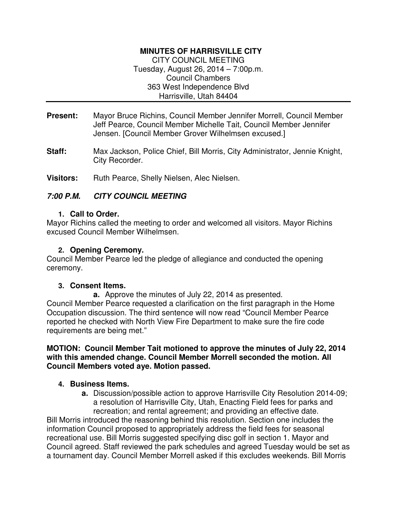## **MINUTES OF HARRISVILLE CITY**

CITY COUNCIL MEETING Tuesday, August 26, 2014 – 7:00p.m. Council Chambers 363 West Independence Blvd Harrisville, Utah 84404

- **Present:** Mayor Bruce Richins, Council Member Jennifer Morrell, Council Member Jeff Pearce, Council Member Michelle Tait, Council Member Jennifer Jensen. [Council Member Grover Wilhelmsen excused.]
- **Staff:** Max Jackson, Police Chief, Bill Morris, City Administrator, Jennie Knight, City Recorder.

Visitors: Ruth Pearce, Shelly Nielsen, Alec Nielsen.

## **7:00 P.M. CITY COUNCIL MEETING**

## **1. Call to Order.**

Mayor Richins called the meeting to order and welcomed all visitors. Mayor Richins excused Council Member Wilhelmsen.

## **2. Opening Ceremony.**

Council Member Pearce led the pledge of allegiance and conducted the opening ceremony.

## **3. Consent Items.**

**a.** Approve the minutes of July 22, 2014 as presented. Council Member Pearce requested a clarification on the first paragraph in the Home Occupation discussion. The third sentence will now read "Council Member Pearce reported he checked with North View Fire Department to make sure the fire code requirements are being met."

### **MOTION: Council Member Tait motioned to approve the minutes of July 22, 2014 with this amended change. Council Member Morrell seconded the motion. All Council Members voted aye. Motion passed.**

## **4. Business Items.**

**a.** Discussion/possible action to approve Harrisville City Resolution 2014-09; a resolution of Harrisville City, Utah, Enacting Field fees for parks and recreation; and rental agreement; and providing an effective date.

Bill Morris introduced the reasoning behind this resolution. Section one includes the information Council proposed to appropriately address the field fees for seasonal recreational use. Bill Morris suggested specifying disc golf in section 1. Mayor and Council agreed. Staff reviewed the park schedules and agreed Tuesday would be set as a tournament day. Council Member Morrell asked if this excludes weekends. Bill Morris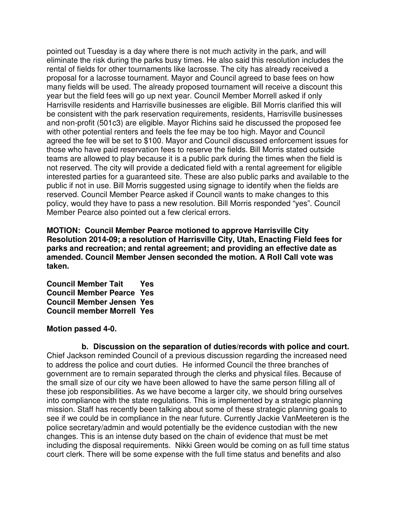pointed out Tuesday is a day where there is not much activity in the park, and will eliminate the risk during the parks busy times. He also said this resolution includes the rental of fields for other tournaments like lacrosse. The city has already received a proposal for a lacrosse tournament. Mayor and Council agreed to base fees on how many fields will be used. The already proposed tournament will receive a discount this year but the field fees will go up next year. Council Member Morrell asked if only Harrisville residents and Harrisville businesses are eligible. Bill Morris clarified this will be consistent with the park reservation requirements, residents, Harrisville businesses and non-profit (501c3) are eligible. Mayor Richins said he discussed the proposed fee with other potential renters and feels the fee may be too high. Mayor and Council agreed the fee will be set to \$100. Mayor and Council discussed enforcement issues for those who have paid reservation fees to reserve the fields. Bill Morris stated outside teams are allowed to play because it is a public park during the times when the field is not reserved. The city will provide a dedicated field with a rental agreement for eligible interested parties for a guaranteed site. These are also public parks and available to the public if not in use. Bill Morris suggested using signage to identify when the fields are reserved. Council Member Pearce asked if Council wants to make changes to this policy, would they have to pass a new resolution. Bill Morris responded "yes". Council Member Pearce also pointed out a few clerical errors.

**MOTION: Council Member Pearce motioned to approve Harrisville City Resolution 2014-09; a resolution of Harrisville City, Utah, Enacting Field fees for parks and recreation; and rental agreement; and providing an effective date as amended. Council Member Jensen seconded the motion. A Roll Call vote was taken.** 

**Council Member Tait Yes Council Member Pearce Yes Council Member Jensen Yes Council member Morrell Yes** 

#### **Motion passed 4-0.**

**b. Discussion on the separation of duties/records with police and court.**  Chief Jackson reminded Council of a previous discussion regarding the increased need to address the police and court duties. He informed Council the three branches of government are to remain separated through the clerks and physical files. Because of the small size of our city we have been allowed to have the same person filling all of these job responsibilities. As we have become a larger city, we should bring ourselves into compliance with the state regulations. This is implemented by a strategic planning mission. Staff has recently been talking about some of these strategic planning goals to see if we could be in compliance in the near future. Currently Jackie VanMeeteren is the police secretary/admin and would potentially be the evidence custodian with the new changes. This is an intense duty based on the chain of evidence that must be met including the disposal requirements. Nikki Green would be coming on as full time status court clerk. There will be some expense with the full time status and benefits and also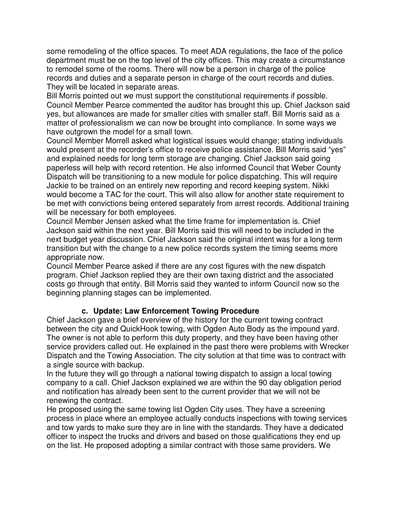some remodeling of the office spaces. To meet ADA regulations, the face of the police department must be on the top level of the city offices. This may create a circumstance to remodel some of the rooms. There will now be a person in charge of the police records and duties and a separate person in charge of the court records and duties. They will be located in separate areas.

Bill Morris pointed out we must support the constitutional requirements if possible. Council Member Pearce commented the auditor has brought this up. Chief Jackson said yes, but allowances are made for smaller cities with smaller staff. Bill Morris said as a matter of professionalism we can now be brought into compliance. In some ways we have outgrown the model for a small town.

Council Member Morrell asked what logistical issues would change; stating individuals would present at the recorder's office to receive police assistance. Bill Morris said "yes" and explained needs for long term storage are changing. Chief Jackson said going paperless will help with record retention. He also informed Council that Weber County Dispatch will be transitioning to a new module for police dispatching. This will require Jackie to be trained on an entirely new reporting and record keeping system. Nikki would become a TAC for the court. This will also allow for another state requirement to be met with convictions being entered separately from arrest records. Additional training will be necessary for both employees.

Council Member Jensen asked what the time frame for implementation is. Chief Jackson said within the next year. Bill Morris said this will need to be included in the next budget year discussion. Chief Jackson said the original intent was for a long term transition but with the change to a new police records system the timing seems more appropriate now.

Council Member Pearce asked if there are any cost figures with the new dispatch program. Chief Jackson replied they are their own taxing district and the associated costs go through that entity. Bill Morris said they wanted to inform Council now so the beginning planning stages can be implemented.

# **c. Update: Law Enforcement Towing Procedure**

Chief Jackson gave a brief overview of the history for the current towing contract between the city and QuickHook towing, with Ogden Auto Body as the impound yard. The owner is not able to perform this duty property, and they have been having other service providers called out. He explained in the past there were problems with Wrecker Dispatch and the Towing Association. The city solution at that time was to contract with a single source with backup.

In the future they will go through a national towing dispatch to assign a local towing company to a call. Chief Jackson explained we are within the 90 day obligation period and notification has already been sent to the current provider that we will not be renewing the contract.

He proposed using the same towing list Ogden City uses. They have a screening process in place where an employee actually conducts inspections with towing services and tow yards to make sure they are in line with the standards. They have a dedicated officer to inspect the trucks and drivers and based on those qualifications they end up on the list. He proposed adopting a similar contract with those same providers. We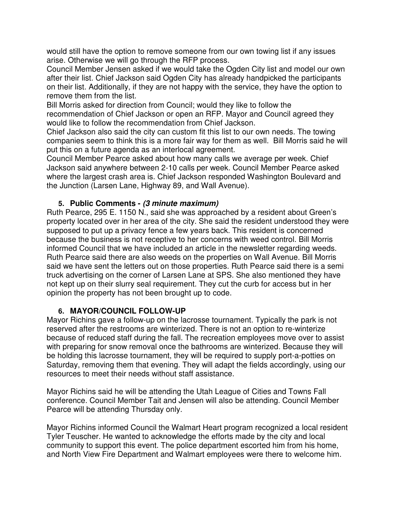would still have the option to remove someone from our own towing list if any issues arise. Otherwise we will go through the RFP process.

Council Member Jensen asked if we would take the Ogden City list and model our own after their list. Chief Jackson said Ogden City has already handpicked the participants on their list. Additionally, if they are not happy with the service, they have the option to remove them from the list.

Bill Morris asked for direction from Council; would they like to follow the recommendation of Chief Jackson or open an RFP. Mayor and Council agreed they would like to follow the recommendation from Chief Jackson.

Chief Jackson also said the city can custom fit this list to our own needs. The towing companies seem to think this is a more fair way for them as well. Bill Morris said he will put this on a future agenda as an interlocal agreement.

Council Member Pearce asked about how many calls we average per week. Chief Jackson said anywhere between 2-10 calls per week. Council Member Pearce asked where the largest crash area is. Chief Jackson responded Washington Boulevard and the Junction (Larsen Lane, Highway 89, and Wall Avenue).

### **5. Public Comments - (3 minute maximum)**

Ruth Pearce, 295 E. 1150 N., said she was approached by a resident about Green's property located over in her area of the city. She said the resident understood they were supposed to put up a privacy fence a few years back. This resident is concerned because the business is not receptive to her concerns with weed control. Bill Morris informed Council that we have included an article in the newsletter regarding weeds. Ruth Pearce said there are also weeds on the properties on Wall Avenue. Bill Morris said we have sent the letters out on those properties. Ruth Pearce said there is a semi truck advertising on the corner of Larsen Lane at SPS. She also mentioned they have not kept up on their slurry seal requirement. They cut the curb for access but in her opinion the property has not been brought up to code.

## **6. MAYOR/COUNCIL FOLLOW-UP**

Mayor Richins gave a follow-up on the lacrosse tournament. Typically the park is not reserved after the restrooms are winterized. There is not an option to re-winterize because of reduced staff during the fall. The recreation employees move over to assist with preparing for snow removal once the bathrooms are winterized. Because they will be holding this lacrosse tournament, they will be required to supply port-a-potties on Saturday, removing them that evening. They will adapt the fields accordingly, using our resources to meet their needs without staff assistance.

Mayor Richins said he will be attending the Utah League of Cities and Towns Fall conference. Council Member Tait and Jensen will also be attending. Council Member Pearce will be attending Thursday only.

Mayor Richins informed Council the Walmart Heart program recognized a local resident Tyler Teuscher. He wanted to acknowledge the efforts made by the city and local community to support this event. The police department escorted him from his home, and North View Fire Department and Walmart employees were there to welcome him.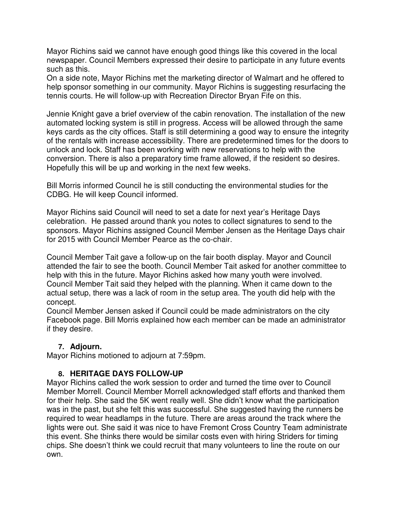Mayor Richins said we cannot have enough good things like this covered in the local newspaper. Council Members expressed their desire to participate in any future events such as this.

On a side note, Mayor Richins met the marketing director of Walmart and he offered to help sponsor something in our community. Mayor Richins is suggesting resurfacing the tennis courts. He will follow-up with Recreation Director Bryan Fife on this.

Jennie Knight gave a brief overview of the cabin renovation. The installation of the new automated locking system is still in progress. Access will be allowed through the same keys cards as the city offices. Staff is still determining a good way to ensure the integrity of the rentals with increase accessibility. There are predetermined times for the doors to unlock and lock. Staff has been working with new reservations to help with the conversion. There is also a preparatory time frame allowed, if the resident so desires. Hopefully this will be up and working in the next few weeks.

Bill Morris informed Council he is still conducting the environmental studies for the CDBG. He will keep Council informed.

Mayor Richins said Council will need to set a date for next year's Heritage Days celebration. He passed around thank you notes to collect signatures to send to the sponsors. Mayor Richins assigned Council Member Jensen as the Heritage Days chair for 2015 with Council Member Pearce as the co-chair.

Council Member Tait gave a follow-up on the fair booth display. Mayor and Council attended the fair to see the booth. Council Member Tait asked for another committee to help with this in the future. Mayor Richins asked how many youth were involved. Council Member Tait said they helped with the planning. When it came down to the actual setup, there was a lack of room in the setup area. The youth did help with the concept.

Council Member Jensen asked if Council could be made administrators on the city Facebook page. Bill Morris explained how each member can be made an administrator if they desire.

## **7. Adjourn.**

Mayor Richins motioned to adjourn at 7:59pm.

### **8. HERITAGE DAYS FOLLOW-UP**

Mayor Richins called the work session to order and turned the time over to Council Member Morrell. Council Member Morrell acknowledged staff efforts and thanked them for their help. She said the 5K went really well. She didn't know what the participation was in the past, but she felt this was successful. She suggested having the runners be required to wear headlamps in the future. There are areas around the track where the lights were out. She said it was nice to have Fremont Cross Country Team administrate this event. She thinks there would be similar costs even with hiring Striders for timing chips. She doesn't think we could recruit that many volunteers to line the route on our own.